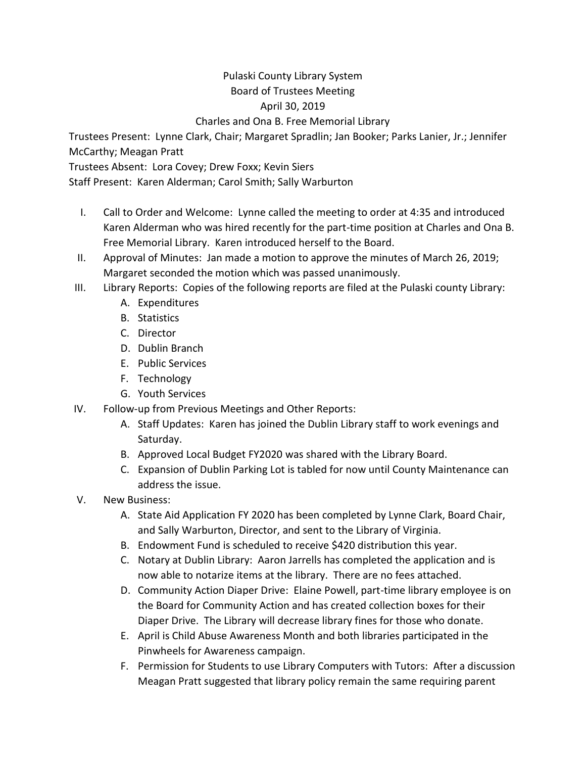## Pulaski County Library System Board of Trustees Meeting April 30, 2019

Charles and Ona B. Free Memorial Library

Trustees Present: Lynne Clark, Chair; Margaret Spradlin; Jan Booker; Parks Lanier, Jr.; Jennifer McCarthy; Meagan Pratt

Trustees Absent: Lora Covey; Drew Foxx; Kevin Siers

Staff Present: Karen Alderman; Carol Smith; Sally Warburton

- I. Call to Order and Welcome: Lynne called the meeting to order at 4:35 and introduced Karen Alderman who was hired recently for the part-time position at Charles and Ona B. Free Memorial Library. Karen introduced herself to the Board.
- II. Approval of Minutes: Jan made a motion to approve the minutes of March 26, 2019; Margaret seconded the motion which was passed unanimously.
- III. Library Reports: Copies of the following reports are filed at the Pulaski county Library:
	- A. Expenditures
	- B. Statistics
	- C. Director
	- D. Dublin Branch
	- E. Public Services
	- F. Technology
	- G. Youth Services
- IV. Follow-up from Previous Meetings and Other Reports:
	- A. Staff Updates: Karen has joined the Dublin Library staff to work evenings and Saturday.
	- B. Approved Local Budget FY2020 was shared with the Library Board.
	- C. Expansion of Dublin Parking Lot is tabled for now until County Maintenance can address the issue.
- V. New Business:
	- A. State Aid Application FY 2020 has been completed by Lynne Clark, Board Chair, and Sally Warburton, Director, and sent to the Library of Virginia.
	- B. Endowment Fund is scheduled to receive \$420 distribution this year.
	- C. Notary at Dublin Library: Aaron Jarrells has completed the application and is now able to notarize items at the library. There are no fees attached.
	- D. Community Action Diaper Drive: Elaine Powell, part-time library employee is on the Board for Community Action and has created collection boxes for their Diaper Drive. The Library will decrease library fines for those who donate.
	- E. April is Child Abuse Awareness Month and both libraries participated in the Pinwheels for Awareness campaign.
	- F. Permission for Students to use Library Computers with Tutors: After a discussion Meagan Pratt suggested that library policy remain the same requiring parent